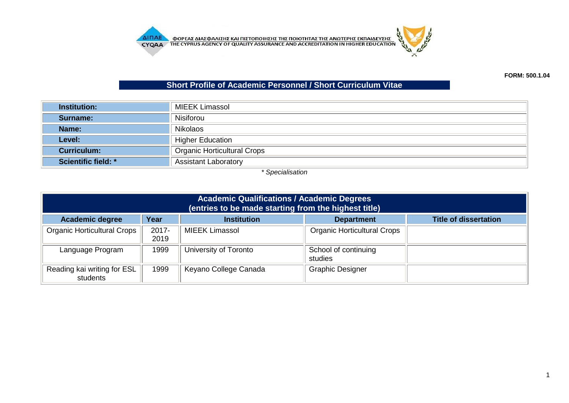

## **Short Profile of Academic Personnel / Short Curriculum Vitae**

| <b>Institution:</b>        | MIEEK Limassol                     |  |  |
|----------------------------|------------------------------------|--|--|
| Surname:                   | <b>Nisiforou</b>                   |  |  |
| Name:                      | <b>Nikolaos</b>                    |  |  |
| Level:                     | <b>Higher Education</b>            |  |  |
| <b>Curriculum:</b>         | <b>Organic Horticultural Crops</b> |  |  |
| <b>Scientific field: *</b> | <b>Assistant Laboratory</b>        |  |  |

*\* Specialisation*

| <b>Academic Qualifications / Academic Degrees</b><br>(entries to be made starting from the highest title) |                  |                       |                                    |                              |
|-----------------------------------------------------------------------------------------------------------|------------------|-----------------------|------------------------------------|------------------------------|
| <b>Academic degree</b>                                                                                    | Year             | <b>Institution</b>    | <b>Department</b>                  | <b>Title of dissertation</b> |
| <b>Organic Horticultural Crops</b>                                                                        | $2017 -$<br>2019 | <b>MIEEK Limassol</b> | <b>Organic Horticultural Crops</b> |                              |
| Language Program                                                                                          | 1999             | University of Toronto | School of continuing<br>studies    |                              |
| Reading kai writing for ESL<br>students                                                                   | 1999             | Keyano College Canada | <b>Graphic Designer</b>            |                              |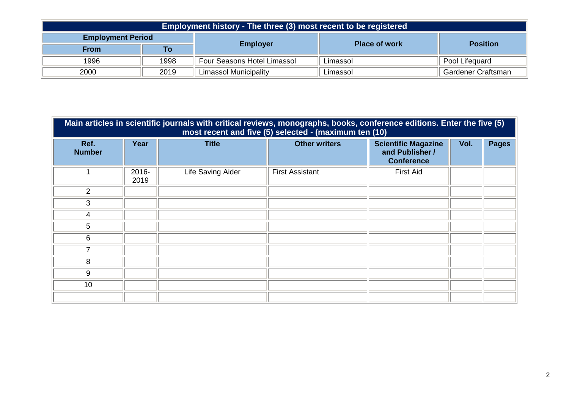| Employment history - The three (3) most recent to be registered |      |                                    |                      |                           |  |
|-----------------------------------------------------------------|------|------------------------------------|----------------------|---------------------------|--|
| <b>Employment Period</b>                                        |      |                                    | <b>Place of work</b> |                           |  |
| <b>From</b>                                                     | То   | <b>Employer</b>                    |                      | <b>Position</b>           |  |
| 1996                                                            | 1998 | <b>Four Seasons Hotel Limassol</b> | Limassol             | Pool Lifequard            |  |
| 2000                                                            | 2019 | <b>Limassol Municipality</b>       | Limassol             | <b>Gardener Craftsman</b> |  |

| Main articles in scientific journals with critical reviews, monographs, books, conference editions. Enter the five (5)<br>most recent and five (5) selected - (maximum ten (10) |               |                   |                        |                                                                    |      |              |
|---------------------------------------------------------------------------------------------------------------------------------------------------------------------------------|---------------|-------------------|------------------------|--------------------------------------------------------------------|------|--------------|
| Ref.<br><b>Number</b>                                                                                                                                                           | Year          | <b>Title</b>      | <b>Other writers</b>   | <b>Scientific Magazine</b><br>and Publisher /<br><b>Conference</b> | Vol. | <b>Pages</b> |
|                                                                                                                                                                                 | 2016-<br>2019 | Life Saving Aider | <b>First Assistant</b> | <b>First Aid</b>                                                   |      |              |
| $\overline{2}$                                                                                                                                                                  |               |                   |                        |                                                                    |      |              |
| 3                                                                                                                                                                               |               |                   |                        |                                                                    |      |              |
| 4                                                                                                                                                                               |               |                   |                        |                                                                    |      |              |
| 5                                                                                                                                                                               |               |                   |                        |                                                                    |      |              |
| 6                                                                                                                                                                               |               |                   |                        |                                                                    |      |              |
| 7                                                                                                                                                                               |               |                   |                        |                                                                    |      |              |
| 8                                                                                                                                                                               |               |                   |                        |                                                                    |      |              |
| 9                                                                                                                                                                               |               |                   |                        |                                                                    |      |              |
| 10                                                                                                                                                                              |               |                   |                        |                                                                    |      |              |
|                                                                                                                                                                                 |               |                   |                        |                                                                    |      |              |